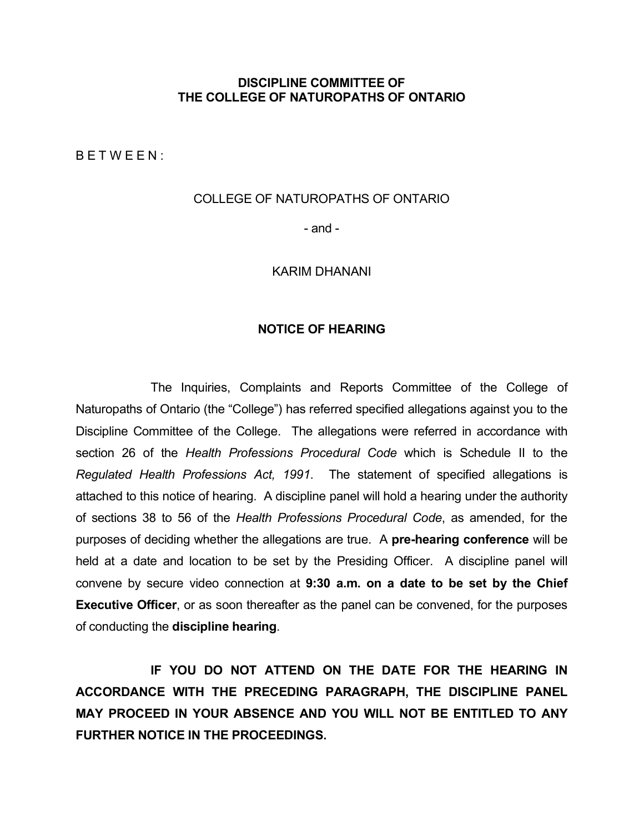### **DISCIPLINE COMMITTEE OF THE COLLEGE OF NATUROPATHS OF ONTARIO**

B E T W E E N :

#### COLLEGE OF NATUROPATHS OF ONTARIO

- and -

#### KARIM DHANANI

### **NOTICE OF HEARING**

The Inquiries, Complaints and Reports Committee of the College of Naturopaths of Ontario (the "College") has referred specified allegations against you to the Discipline Committee of the College. The allegations were referred in accordance with section 26 of the *Health Professions Procedural Code* which is Schedule II to the *Regulated Health Professions Act, 1991*. The statement of specified allegations is attached to this notice of hearing. A discipline panel will hold a hearing under the authority of sections 38 to 56 of the *Health Professions Procedural Code*, as amended, for the purposes of deciding whether the allegations are true. A **pre-hearing conference** will be held at a date and location to be set by the Presiding Officer. A discipline panel will convene by secure video connection at **9:30 a.m. on a date to be set by the Chief Executive Officer**, or as soon thereafter as the panel can be convened, for the purposes of conducting the **discipline hearing**.

**IF YOU DO NOT ATTEND ON THE DATE FOR THE HEARING IN ACCORDANCE WITH THE PRECEDING PARAGRAPH, THE DISCIPLINE PANEL MAY PROCEED IN YOUR ABSENCE AND YOU WILL NOT BE ENTITLED TO ANY FURTHER NOTICE IN THE PROCEEDINGS.**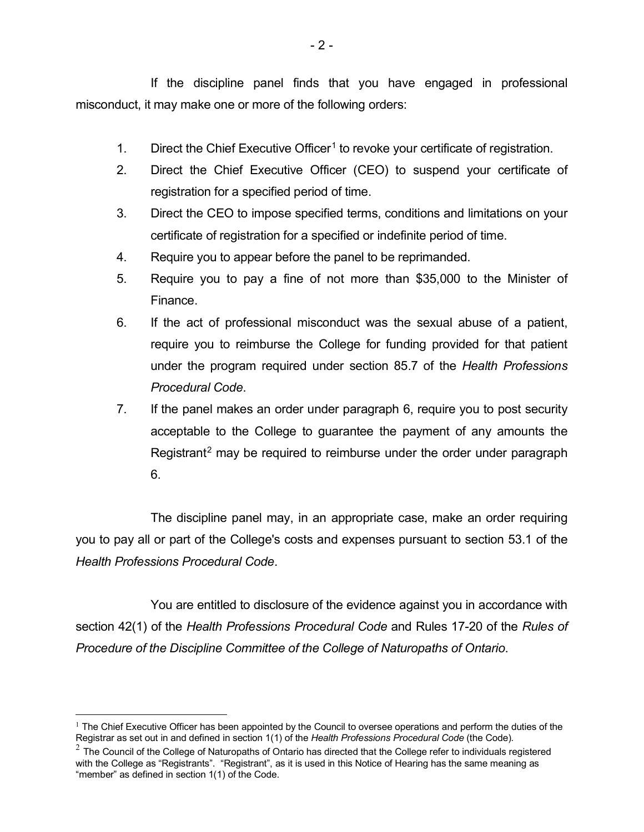If the discipline panel finds that you have engaged in professional misconduct, it may make one or more of the following orders:

- [1](#page-1-0). Direct the Chief Executive Officer<sup>1</sup> to revoke your certificate of registration.
- 2. Direct the Chief Executive Officer (CEO) to suspend your certificate of registration for a specified period of time.
- 3. Direct the CEO to impose specified terms, conditions and limitations on your certificate of registration for a specified or indefinite period of time.
- 4. Require you to appear before the panel to be reprimanded.
- 5. Require you to pay a fine of not more than \$35,000 to the Minister of Finance.
- 6. If the act of professional misconduct was the sexual abuse of a patient, require you to reimburse the College for funding provided for that patient under the program required under section 85.7 of the *Health Professions Procedural Code*.
- 7. If the panel makes an order under paragraph 6, require you to post security acceptable to the College to guarantee the payment of any amounts the Registrant<sup>[2](#page-1-1)</sup> may be required to reimburse under the order under paragraph 6.

The discipline panel may, in an appropriate case, make an order requiring you to pay all or part of the College's costs and expenses pursuant to section 53.1 of the *Health Professions Procedural Code*.

You are entitled to disclosure of the evidence against you in accordance with section 42(1) of the *Health Professions Procedural Code* and Rules 17-20 of the *Rules of Procedure of the Discipline Committee of the College of Naturopaths of Ontario*.

<span id="page-1-0"></span> $<sup>1</sup>$  The Chief Executive Officer has been appointed by the Council to oversee operations and perform the duties of the</sup> Registrar as set out in and defined in section 1(1) of the *Health Professions Procedural Code* (the Code)*.*

<span id="page-1-1"></span> $^2$  The Council of the College of Naturopaths of Ontario has directed that the College refer to individuals registered with the College as "Registrants". "Registrant", as it is used in this Notice of Hearing has the same meaning as "member" as defined in section 1(1) of the Code.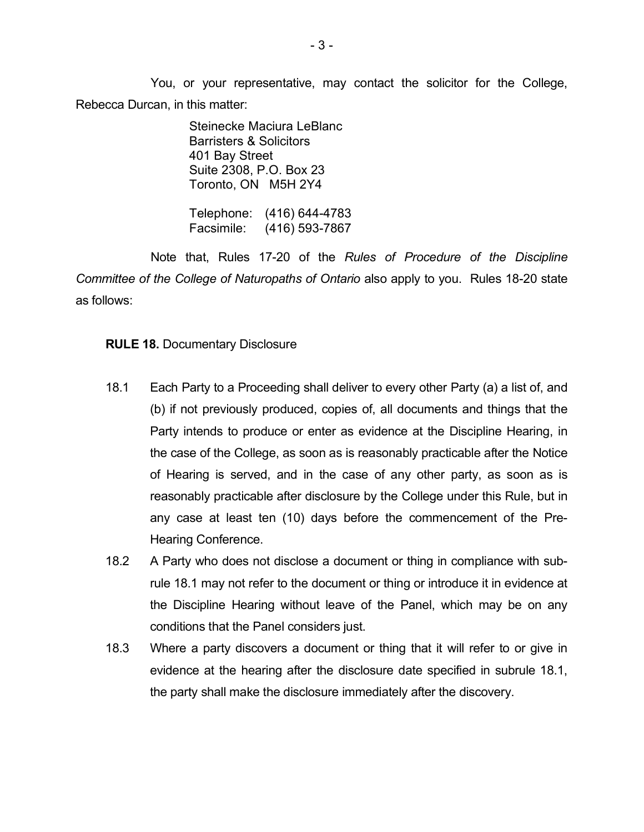You, or your representative, may contact the solicitor for the College, Rebecca Durcan, in this matter:

> Steinecke Maciura LeBlanc Barristers & Solicitors 401 Bay Street Suite 2308, P.O. Box 23 Toronto, ON M5H 2Y4

Telephone: (416) 644-4783 Facsimile: (416) 593-7867

Note that, Rules 17-20 of the *Rules of Procedure of the Discipline Committee of the College of Naturopaths of Ontario* also apply to you. Rules 18-20 state as follows:

### **RULE 18.** Documentary Disclosure

- 18.1 Each Party to a Proceeding shall deliver to every other Party (a) a list of, and (b) if not previously produced, copies of, all documents and things that the Party intends to produce or enter as evidence at the Discipline Hearing, in the case of the College, as soon as is reasonably practicable after the Notice of Hearing is served, and in the case of any other party, as soon as is reasonably practicable after disclosure by the College under this Rule, but in any case at least ten (10) days before the commencement of the Pre-Hearing Conference.
- 18.2 A Party who does not disclose a document or thing in compliance with subrule 18.1 may not refer to the document or thing or introduce it in evidence at the Discipline Hearing without leave of the Panel, which may be on any conditions that the Panel considers just.
- 18.3 Where a party discovers a document or thing that it will refer to or give in evidence at the hearing after the disclosure date specified in subrule 18.1, the party shall make the disclosure immediately after the discovery.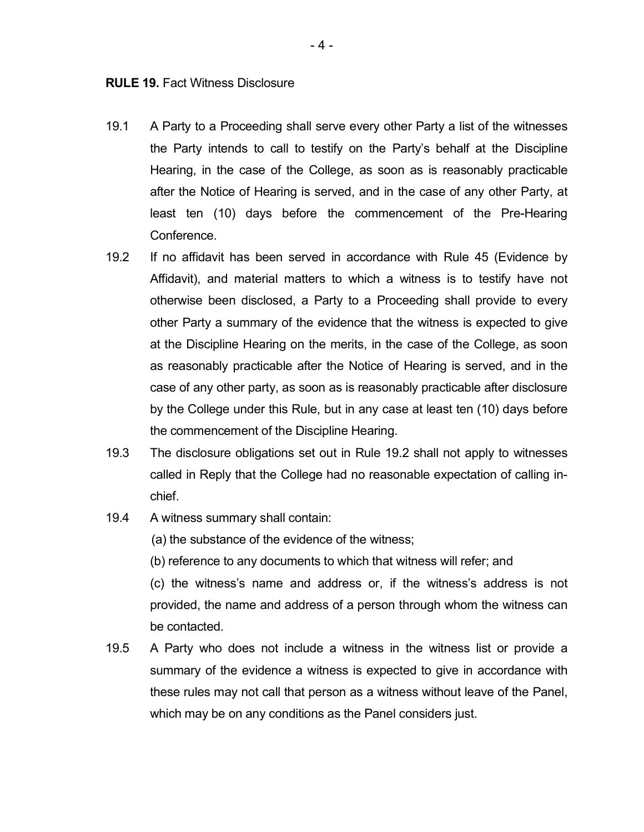- 19.1 A Party to a Proceeding shall serve every other Party a list of the witnesses the Party intends to call to testify on the Party's behalf at the Discipline Hearing, in the case of the College, as soon as is reasonably practicable after the Notice of Hearing is served, and in the case of any other Party, at least ten (10) days before the commencement of the Pre-Hearing Conference.
- 19.2 If no affidavit has been served in accordance with Rule 45 (Evidence by Affidavit), and material matters to which a witness is to testify have not otherwise been disclosed, a Party to a Proceeding shall provide to every other Party a summary of the evidence that the witness is expected to give at the Discipline Hearing on the merits, in the case of the College, as soon as reasonably practicable after the Notice of Hearing is served, and in the case of any other party, as soon as is reasonably practicable after disclosure by the College under this Rule, but in any case at least ten (10) days before the commencement of the Discipline Hearing.
- 19.3 The disclosure obligations set out in Rule 19.2 shall not apply to witnesses called in Reply that the College had no reasonable expectation of calling inchief.
- 19.4 A witness summary shall contain:

(a) the substance of the evidence of the witness;

(b) reference to any documents to which that witness will refer; and

(c) the witness's name and address or, if the witness's address is not provided, the name and address of a person through whom the witness can be contacted.

19.5 A Party who does not include a witness in the witness list or provide a summary of the evidence a witness is expected to give in accordance with these rules may not call that person as a witness without leave of the Panel, which may be on any conditions as the Panel considers just.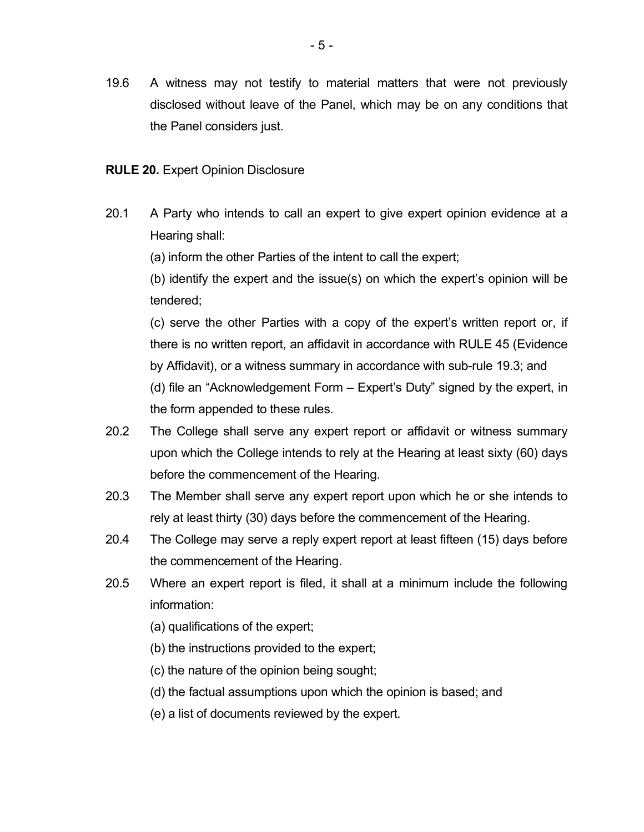19.6 A witness may not testify to material matters that were not previously disclosed without leave of the Panel, which may be on any conditions that the Panel considers just.

## **RULE 20.** Expert Opinion Disclosure

20.1 A Party who intends to call an expert to give expert opinion evidence at a Hearing shall:

(a) inform the other Parties of the intent to call the expert;

(b) identify the expert and the issue(s) on which the expert's opinion will be tendered;

(c) serve the other Parties with a copy of the expert's written report or, if there is no written report, an affidavit in accordance with RULE 45 (Evidence by Affidavit), or a witness summary in accordance with sub-rule 19.3; and (d) file an "Acknowledgement Form – Expert's Duty" signed by the expert, in the form appended to these rules.

- 20.2 The College shall serve any expert report or affidavit or witness summary upon which the College intends to rely at the Hearing at least sixty (60) days before the commencement of the Hearing.
- 20.3 The Member shall serve any expert report upon which he or she intends to rely at least thirty (30) days before the commencement of the Hearing.
- 20.4 The College may serve a reply expert report at least fifteen (15) days before the commencement of the Hearing.
- 20.5 Where an expert report is filed, it shall at a minimum include the following information:
	- (a) qualifications of the expert;
	- (b) the instructions provided to the expert;
	- (c) the nature of the opinion being sought;
	- (d) the factual assumptions upon which the opinion is based; and
	- (e) a list of documents reviewed by the expert.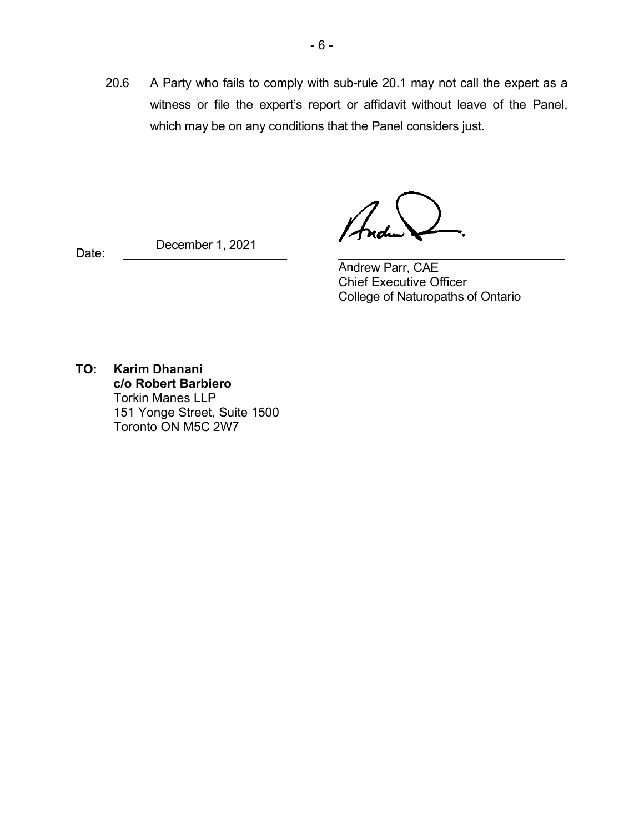20.6 A Party who fails to comply with sub-rule 20.1 may not call the expert as a witness or file the expert's report or affidavit without leave of the Panel, which may be on any conditions that the Panel considers just.

Date: \_\_\_\_\_\_\_\_\_\_\_\_\_\_\_\_\_\_\_\_\_\_\_\_ \_\_\_\_\_\_\_\_\_\_\_\_\_\_\_\_\_\_\_\_\_\_\_\_\_\_\_\_\_\_\_\_\_ December 1, 2021

Andrew Parr, CAE Chief Executive Officer College of Naturopaths of Ontario

**TO: Karim Dhanani c/o Robert Barbiero** Torkin Manes LLP 151 Yonge Street, Suite 1500 Toronto ON M5C 2W7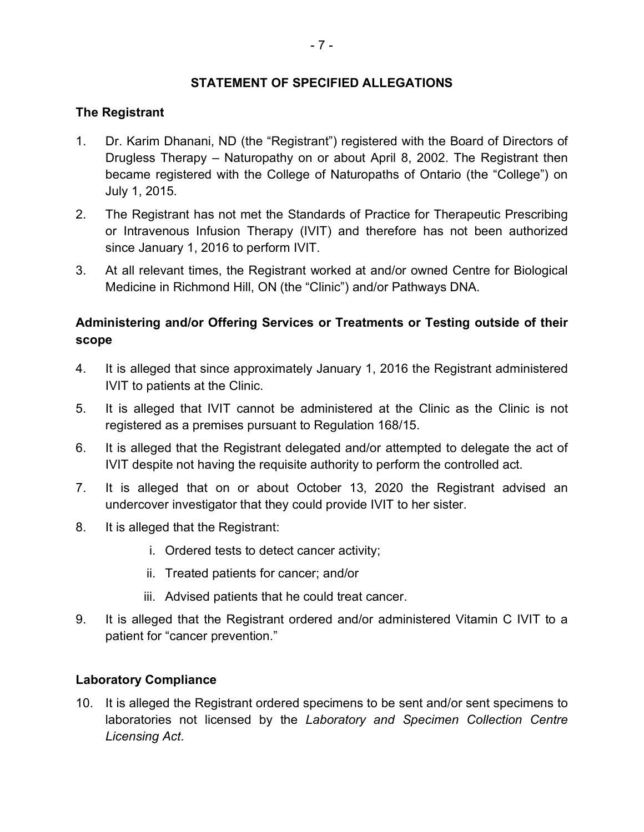## **STATEMENT OF SPECIFIED ALLEGATIONS**

## **The Registrant**

- 1. Dr. Karim Dhanani, ND (the "Registrant") registered with the Board of Directors of Drugless Therapy – Naturopathy on or about April 8, 2002. The Registrant then became registered with the College of Naturopaths of Ontario (the "College") on July 1, 2015.
- 2. The Registrant has not met the Standards of Practice for Therapeutic Prescribing or Intravenous Infusion Therapy (IVIT) and therefore has not been authorized since January 1, 2016 to perform IVIT.
- 3. At all relevant times, the Registrant worked at and/or owned Centre for Biological Medicine in Richmond Hill, ON (the "Clinic") and/or Pathways DNA.

# **Administering and/or Offering Services or Treatments or Testing outside of their scope**

- 4. It is alleged that since approximately January 1, 2016 the Registrant administered IVIT to patients at the Clinic.
- 5. It is alleged that IVIT cannot be administered at the Clinic as the Clinic is not registered as a premises pursuant to Regulation 168/15.
- 6. It is alleged that the Registrant delegated and/or attempted to delegate the act of IVIT despite not having the requisite authority to perform the controlled act.
- 7. It is alleged that on or about October 13, 2020 the Registrant advised an undercover investigator that they could provide IVIT to her sister.
- 8. It is alleged that the Registrant:
	- i. Ordered tests to detect cancer activity;
	- ii. Treated patients for cancer; and/or
	- iii. Advised patients that he could treat cancer.
- 9. It is alleged that the Registrant ordered and/or administered Vitamin C IVIT to a patient for "cancer prevention."

## **Laboratory Compliance**

10. It is alleged the Registrant ordered specimens to be sent and/or sent specimens to laboratories not licensed by the *Laboratory and Specimen Collection Centre Licensing Act*.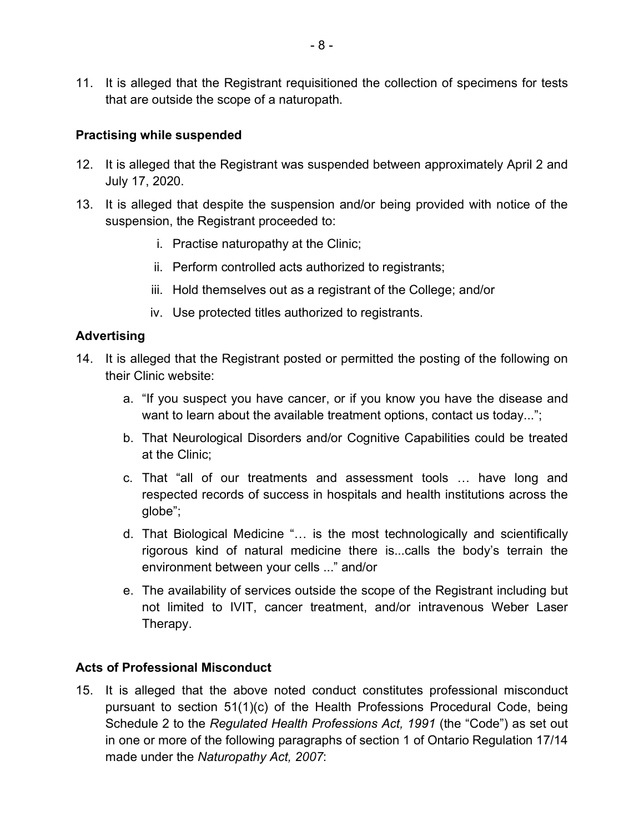11. It is alleged that the Registrant requisitioned the collection of specimens for tests that are outside the scope of a naturopath.

## **Practising while suspended**

- 12. It is alleged that the Registrant was suspended between approximately April 2 and July 17, 2020.
- 13. It is alleged that despite the suspension and/or being provided with notice of the suspension, the Registrant proceeded to:
	- i. Practise naturopathy at the Clinic;
	- ii. Perform controlled acts authorized to registrants;
	- iii. Hold themselves out as a registrant of the College; and/or
	- iv. Use protected titles authorized to registrants.

## **Advertising**

- 14. It is alleged that the Registrant posted or permitted the posting of the following on their Clinic website:
	- a. "If you suspect you have cancer, or if you know you have the disease and want to learn about the available treatment options, contact us today...";
	- b. That Neurological Disorders and/or Cognitive Capabilities could be treated at the Clinic;
	- c. That "all of our treatments and assessment tools … have long and respected records of success in hospitals and health institutions across the globe";
	- d. That Biological Medicine "… is the most technologically and scientifically rigorous kind of natural medicine there is...calls the body's terrain the environment between your cells ..." and/or
	- e. The availability of services outside the scope of the Registrant including but not limited to IVIT, cancer treatment, and/or intravenous Weber Laser Therapy.

### **Acts of Professional Misconduct**

15. It is alleged that the above noted conduct constitutes professional misconduct pursuant to section 51(1)(c) of the Health Professions Procedural Code, being Schedule 2 to the *Regulated Health Professions Act, 1991* (the "Code") as set out in one or more of the following paragraphs of section 1 of Ontario Regulation 17/14 made under the *Naturopathy Act, 2007*: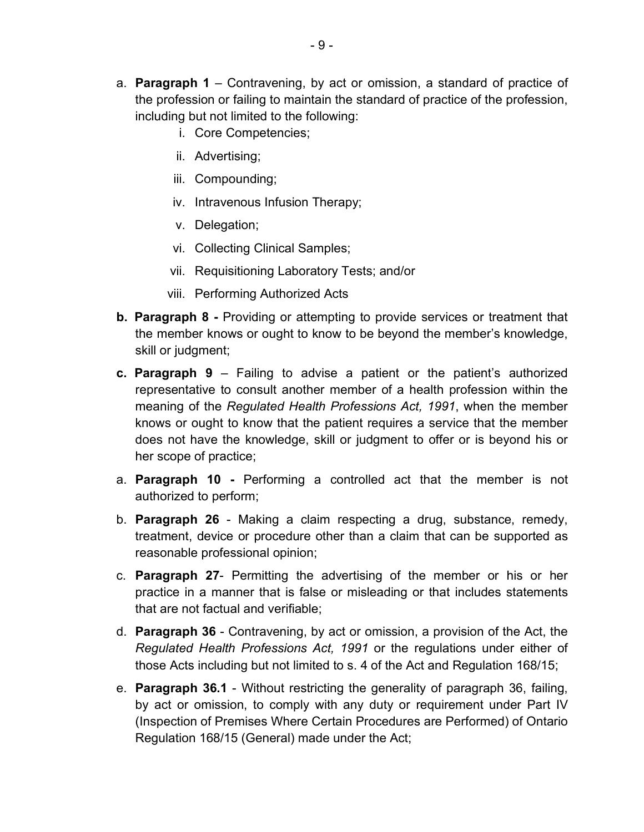- a. **Paragraph 1** Contravening, by act or omission, a standard of practice of the profession or failing to maintain the standard of practice of the profession, including but not limited to the following:
	- i. Core Competencies;
	- ii. Advertising;
	- iii. Compounding;
	- iv. Intravenous Infusion Therapy;
	- v. Delegation;
	- vi. Collecting Clinical Samples;
	- vii. Requisitioning Laboratory Tests; and/or
	- viii. Performing Authorized Acts
- **b. Paragraph 8 -** Providing or attempting to provide services or treatment that the member knows or ought to know to be beyond the member's knowledge, skill or judgment;
- **c. Paragraph 9** Failing to advise a patient or the patient's authorized representative to consult another member of a health profession within the meaning of the *Regulated Health Professions Act, 1991*, when the member knows or ought to know that the patient requires a service that the member does not have the knowledge, skill or judgment to offer or is beyond his or her scope of practice;
- a. **Paragraph 10 -** Performing a controlled act that the member is not authorized to perform;
- b. **Paragraph 26**  Making a claim respecting a drug, substance, remedy, treatment, device or procedure other than a claim that can be supported as reasonable professional opinion;
- c. **Paragraph 27** Permitting the advertising of the member or his or her practice in a manner that is false or misleading or that includes statements that are not factual and verifiable;
- d. **Paragraph 36**  Contravening, by act or omission, a provision of the Act, the *Regulated Health Professions Act, 1991* or the regulations under either of those Acts including but not limited to s. 4 of the Act and Regulation 168/15;
- e. **Paragraph 36.1** Without restricting the generality of paragraph 36, failing, by act or omission, to comply with any duty or requirement under Part IV (Inspection of Premises Where Certain Procedures are Performed) of Ontario Regulation 168/15 (General) made under the Act;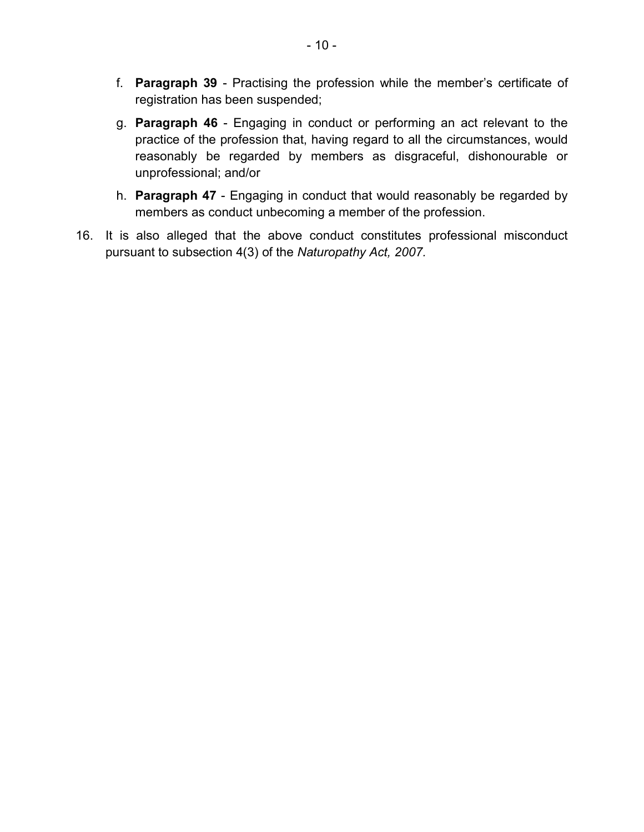- f. **Paragraph 39** Practising the profession while the member's certificate of registration has been suspended;
- g. **Paragraph 46** Engaging in conduct or performing an act relevant to the practice of the profession that, having regard to all the circumstances, would reasonably be regarded by members as disgraceful, dishonourable or unprofessional; and/or
- h. **Paragraph 47** Engaging in conduct that would reasonably be regarded by members as conduct unbecoming a member of the profession.
- 16. It is also alleged that the above conduct constitutes professional misconduct pursuant to subsection 4(3) of the *Naturopathy Act, 2007.*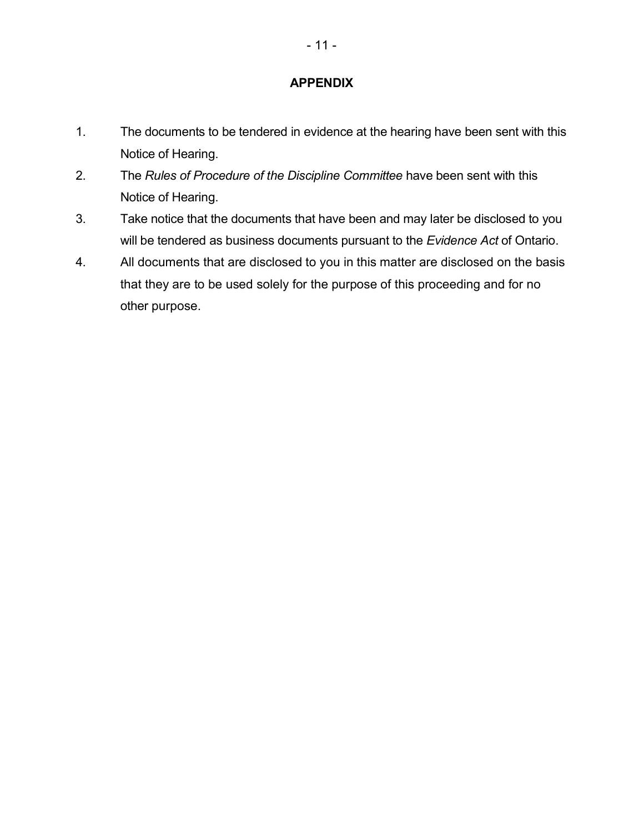## **APPENDIX**

- 1. The documents to be tendered in evidence at the hearing have been sent with this Notice of Hearing.
- 2. The *Rules of Procedure of the Discipline Committee* have been sent with this Notice of Hearing.
- 3. Take notice that the documents that have been and may later be disclosed to you will be tendered as business documents pursuant to the *Evidence Act* of Ontario.
- 4. All documents that are disclosed to you in this matter are disclosed on the basis that they are to be used solely for the purpose of this proceeding and for no other purpose.